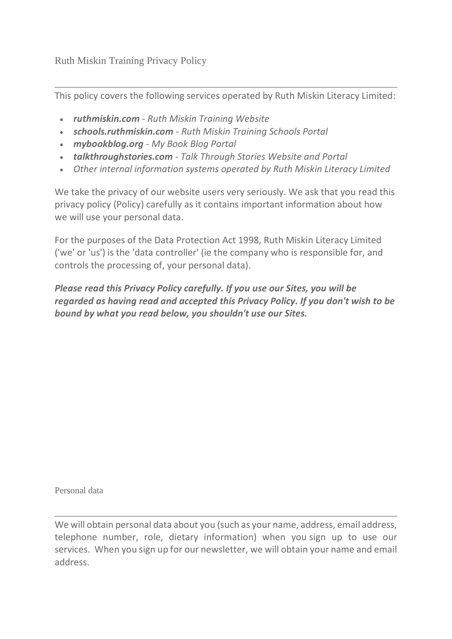Ruth Miskin Training Privacy Policy

This policy covers the following services operated by Ruth Miskin Literacy Limited:

- *ruthmiskin.com - Ruth Miskin Training Website*
- *schools.ruthmiskin.com - Ruth Miskin Training Schools Portal*
- *mybookblog.org - My Book Blog Portal*
- *talkthroughstories.com - Talk Through Stories Website and Portal*
- *Other internal information systems operated by Ruth Miskin Literacy Limited*

We take the privacy of our website users very seriously. We ask that you read this privacy policy (Policy) carefully as it contains important information about how we will use your personal data.

For the purposes of the Data Protection Act 1998, Ruth Miskin Literacy Limited ('we' or 'us') is the 'data controller' (ie the company who is responsible for, and controls the processing of, your personal data).

*Please read this Privacy Policy carefully. If you use our Sites, you will be regarded as having read and accepted this Privacy Policy. If you don't wish to be bound by what you read below, you shouldn't use our Sites.*

Personal data

We will obtain personal data about you (such as your name, address, email address, telephone number, role, dietary information) when you sign up to use our services. When you sign up for our newsletter, we will obtain your name and email address.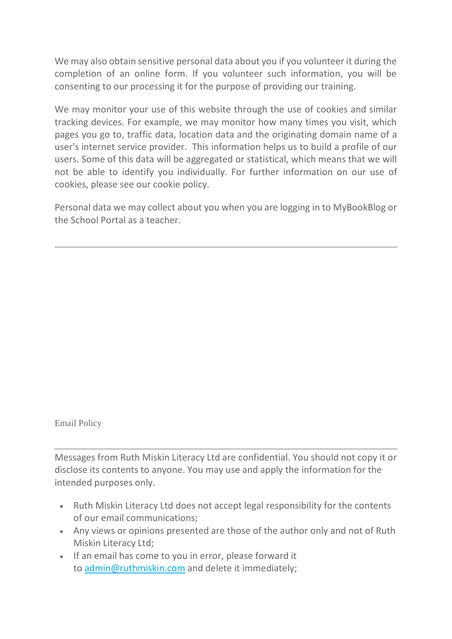We may also obtain sensitive personal data about you if you volunteer it during the completion of an online form. If you volunteer such information, you will be consenting to our processing it for the purpose of providing our training.

We may monitor your use of this website through the use of cookies and similar tracking devices. For example, we may monitor how many times you visit, which pages you go to, traffic data, location data and the originating domain name of a user's internet service provider. This information helps us to build a profile of our users. Some of this data will be aggregated or statistical, which means that we will not be able to identify you individually. For further information on our use of cookies, please see our cookie policy.

Personal data we may collect about you when you are logging in to MyBookBlog or the School Portal as a teacher.

Email Policy

Messages from Ruth Miskin Literacy Ltd are confidential. You should not copy it or disclose its contents to anyone. You may use and apply the information for the intended purposes only.

- Ruth Miskin Literacy Ltd does not accept legal responsibility for the contents of our email communications;
- Any views or opinions presented are those of the author only and not of Ruth Miskin Literacy Ltd;
- If an email has come to you in error, please forward it to [admin@ruthmiskin.com](mailto:admin@ruthmiskin.com) and delete it immediately;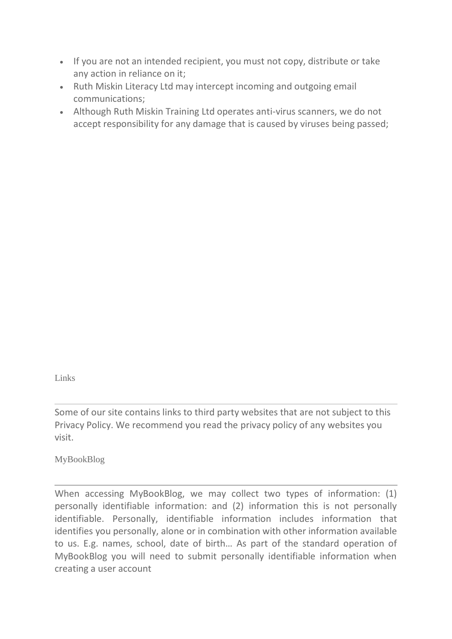- If you are not an intended recipient, you must not copy, distribute or take any action in reliance on it;
- Ruth Miskin Literacy Ltd may intercept incoming and outgoing email communications;
- Although Ruth Miskin Training Ltd operates anti-virus scanners, we do not accept responsibility for any damage that is caused by viruses being passed;

Links

Some of our site contains links to third party websites that are not subject to this Privacy Policy. We recommend you read the privacy policy of any websites you visit.

MyBookBlog

When accessing MyBookBlog, we may collect two types of information: (1) personally identifiable information: and (2) information this is not personally identifiable. Personally, identifiable information includes information that identifies you personally, alone or in combination with other information available to us. E.g. names, school, date of birth… As part of the standard operation of MyBookBlog you will need to submit personally identifiable information when creating a user account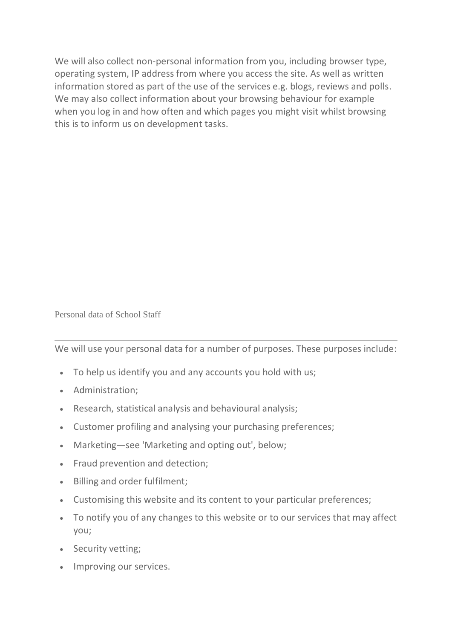We will also collect non-personal information from you, including browser type, operating system, IP address from where you access the site. As well as written information stored as part of the use of the services e.g. blogs, reviews and polls. We may also collect information about your browsing behaviour for example when you log in and how often and which pages you might visit whilst browsing this is to inform us on development tasks.

Personal data of School Staff

We will use your personal data for a number of purposes. These purposes include:

- To help us identify you and any accounts you hold with us;
- Administration;
- Research, statistical analysis and behavioural analysis;
- Customer profiling and analysing your purchasing preferences;
- Marketing—see 'Marketing and opting out', below;
- Fraud prevention and detection;
- Billing and order fulfilment;
- Customising this website and its content to your particular preferences;
- To notify you of any changes to this website or to our services that may affect you;
- Security vetting;
- Improving our services.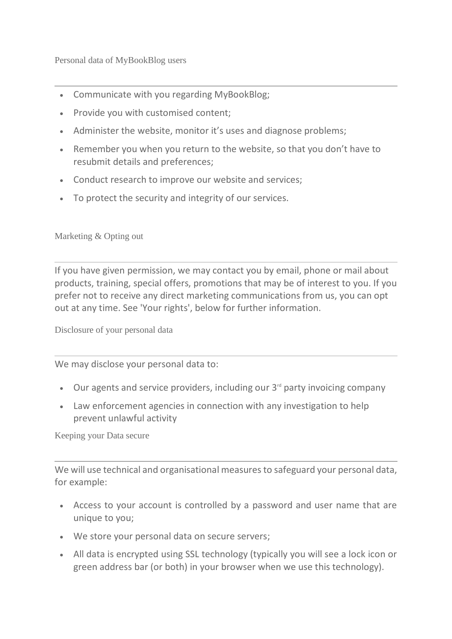Personal data of MyBookBlog users

- Communicate with you regarding MyBookBlog;
- Provide you with customised content;
- Administer the website, monitor it's uses and diagnose problems;
- Remember you when you return to the website, so that you don't have to resubmit details and preferences;
- Conduct research to improve our website and services;
- To protect the security and integrity of our services.

Marketing & Opting out

If you have given permission, we may contact you by email, phone or mail about products, training, special offers, promotions that may be of interest to you. If you prefer not to receive any direct marketing communications from us, you can opt out at any time. See 'Your rights', below for further information.

Disclosure of your personal data

We may disclose your personal data to:

- Our agents and service providers, including our 3<sup>rd</sup> party invoicing company
- Law enforcement agencies in connection with any investigation to help prevent unlawful activity

Keeping your Data secure

We will use technical and organisational measures to safeguard your personal data, for example:

- Access to your account is controlled by a password and user name that are unique to you;
- We store your personal data on secure servers;
- All data is encrypted using SSL technology (typically you will see a lock icon or green address bar (or both) in your browser when we use this technology).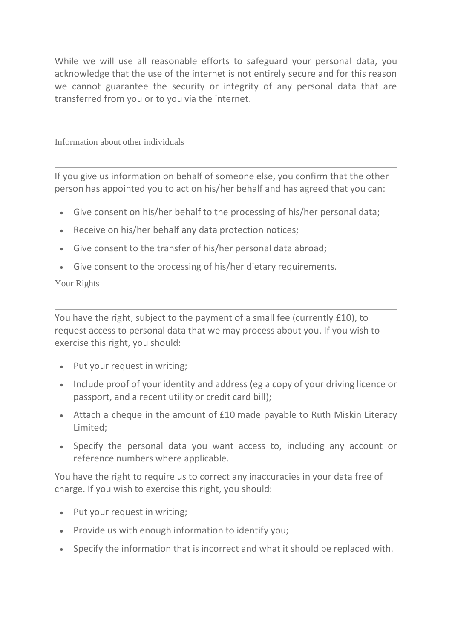While we will use all reasonable efforts to safeguard your personal data, you acknowledge that the use of the internet is not entirely secure and for this reason we cannot guarantee the security or integrity of any personal data that are transferred from you or to you via the internet.

Information about other individuals

If you give us information on behalf of someone else, you confirm that the other person has appointed you to act on his/her behalf and has agreed that you can:

- Give consent on his/her behalf to the processing of his/her personal data;
- Receive on his/her behalf any data protection notices;
- Give consent to the transfer of his/her personal data abroad;
- Give consent to the processing of his/her dietary requirements.

## Your Rights

You have the right, subject to the payment of a small fee (currently £10), to request access to personal data that we may process about you. If you wish to exercise this right, you should:

- Put your request in writing;
- Include proof of your identity and address (eg a copy of your driving licence or passport, and a recent utility or credit card bill);
- Attach a cheque in the amount of £10 made payable to Ruth Miskin Literacy Limited;
- Specify the personal data you want access to, including any account or reference numbers where applicable.

You have the right to require us to correct any inaccuracies in your data free of charge. If you wish to exercise this right, you should:

- Put your request in writing;
- Provide us with enough information to identify you;
- Specify the information that is incorrect and what it should be replaced with.